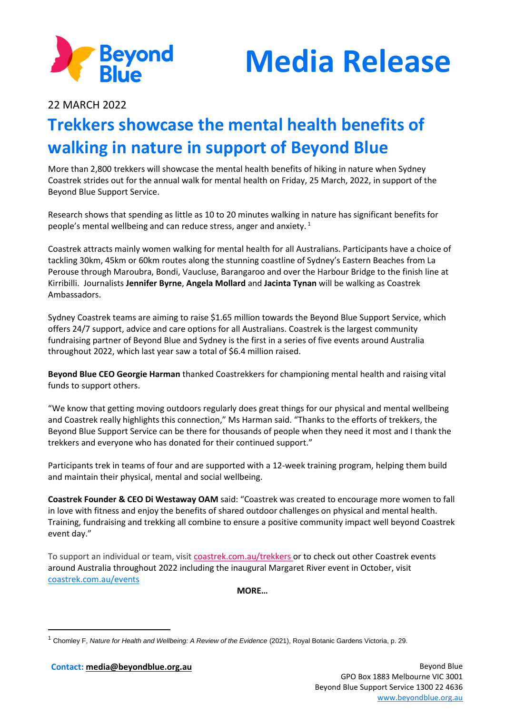



22 MARCH 2022

## **Trekkers showcase the mental health benefits of walking in nature in support of Beyond Blue**

More than 2,800 trekkers will showcase the mental health benefits of hiking in nature when Sydney Coastrek strides out for the annual walk for mental health on Friday, 25 March, 2022, in support of the Beyond Blue Support Service.

Research shows that spending as little as 10 to 20 minutes walking in nature has significant benefits for people's mental wellbeing and can reduce stress, anger and anxiety. <sup>1</sup>

Coastrek attracts mainly women walking for mental health for all Australians. Participants have a choice of tackling 30km, 45km or 60km routes along the stunning coastline of Sydney's Eastern Beaches from La Perouse through Maroubra, Bondi, Vaucluse, Barangaroo and over the Harbour Bridge to the finish line at Kirribilli. Journalists **Jennifer Byrne**, **Angela Mollard** and **Jacinta Tynan** will be walking as Coastrek Ambassadors.

Sydney Coastrek teams are aiming to raise \$1.65 million towards the Beyond Blue Support Service, which offers 24/7 support, advice and care options for all Australians. Coastrek is the largest community fundraising partner of Beyond Blue and Sydney is the first in a series of five events around Australia throughout 2022, which last year saw a total of \$6.4 million raised.

**Beyond Blue CEO Georgie Harman** thanked Coastrekkers for championing mental health and raising vital funds to support others.

"We know that getting moving outdoors regularly does great things for our physical and mental wellbeing and Coastrek really highlights this connection," Ms Harman said. "Thanks to the efforts of trekkers, the Beyond Blue Support Service can be there for thousands of people when they need it most and I thank the trekkers and everyone who has donated for their continued support."

Participants trek in teams of four and are supported with a 12-week training program, helping them build and maintain their physical, mental and social wellbeing.

**Coastrek Founder & CEO Di Westaway OAM** said: "Coastrek was created to encourage more women to fall in love with fitness and enjoy the benefits of shared outdoor challenges on physical and mental health. Training, fundraising and trekking all combine to ensure a positive community impact well beyond Coastrek event day."

To support an individual or team, visit [coastrek.com.au/trekkers](file:///C:/Users/ecope/AppData/Local/Microsoft/Windows/INetCache/Content.Outlook/EUZAU3TB/coastrek.com.au/trekkers) or to check out other Coastrek events around Australia throughout 2022 including the inaugural Margaret River event in October, visit [coastrek.com.au/events](https://www.coastrek.com.au/events)

**MORE…**

**Contact: [media@beyondblue.org.au](mailto:media@beyondblue.org.au)** Beyond Blue

<sup>1</sup> Chomley F, *Nature for Health and Wellbeing: A Review of the Evidence* (2021), Royal Botanic Gardens Victoria, p. 29.